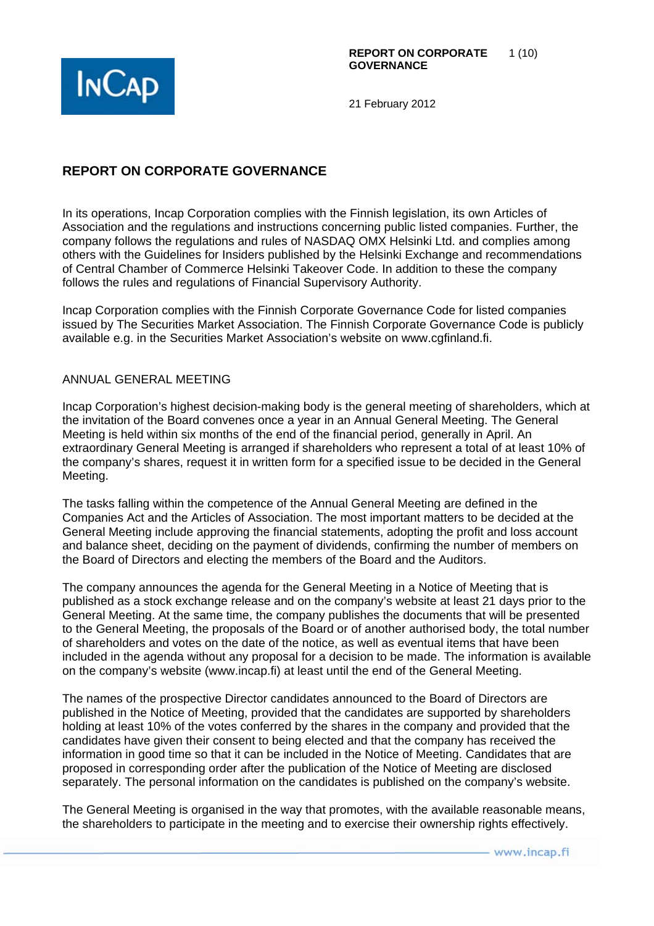

# **REPORT ON CORPORATE GOVERNANCE**

In its operations, Incap Corporation complies with the Finnish legislation, its own Articles of Association and the regulations and instructions concerning public listed companies. Further, the company follows the regulations and rules of NASDAQ OMX Helsinki Ltd. and complies among others with the Guidelines for Insiders published by the Helsinki Exchange and recommendations of Central Chamber of Commerce Helsinki Takeover Code. In addition to these the company follows the rules and regulations of Financial Supervisory Authority.

Incap Corporation complies with the Finnish Corporate Governance Code for listed companies issued by The Securities Market Association. The Finnish Corporate Governance Code is publicly available e.g. in the Securities Market Association's website on www.cgfinland.fi.

## ANNUAL GENERAL MEETING

Incap Corporation's highest decision-making body is the general meeting of shareholders, which at the invitation of the Board convenes once a year in an Annual General Meeting. The General Meeting is held within six months of the end of the financial period, generally in April. An extraordinary General Meeting is arranged if shareholders who represent a total of at least 10% of the company's shares, request it in written form for a specified issue to be decided in the General Meeting.

The tasks falling within the competence of the Annual General Meeting are defined in the Companies Act and the Articles of Association. The most important matters to be decided at the General Meeting include approving the financial statements, adopting the profit and loss account and balance sheet, deciding on the payment of dividends, confirming the number of members on the Board of Directors and electing the members of the Board and the Auditors.

The company announces the agenda for the General Meeting in a Notice of Meeting that is published as a stock exchange release and on the company's website at least 21 days prior to the General Meeting. At the same time, the company publishes the documents that will be presented to the General Meeting, the proposals of the Board or of another authorised body, the total number of shareholders and votes on the date of the notice, as well as eventual items that have been included in the agenda without any proposal for a decision to be made. The information is available on the company's website (www.incap.fi) at least until the end of the General Meeting.

The names of the prospective Director candidates announced to the Board of Directors are published in the Notice of Meeting, provided that the candidates are supported by shareholders holding at least 10% of the votes conferred by the shares in the company and provided that the candidates have given their consent to being elected and that the company has received the information in good time so that it can be included in the Notice of Meeting. Candidates that are proposed in corresponding order after the publication of the Notice of Meeting are disclosed separately. The personal information on the candidates is published on the company's website.

The General Meeting is organised in the way that promotes, with the available reasonable means, the shareholders to participate in the meeting and to exercise their ownership rights effectively.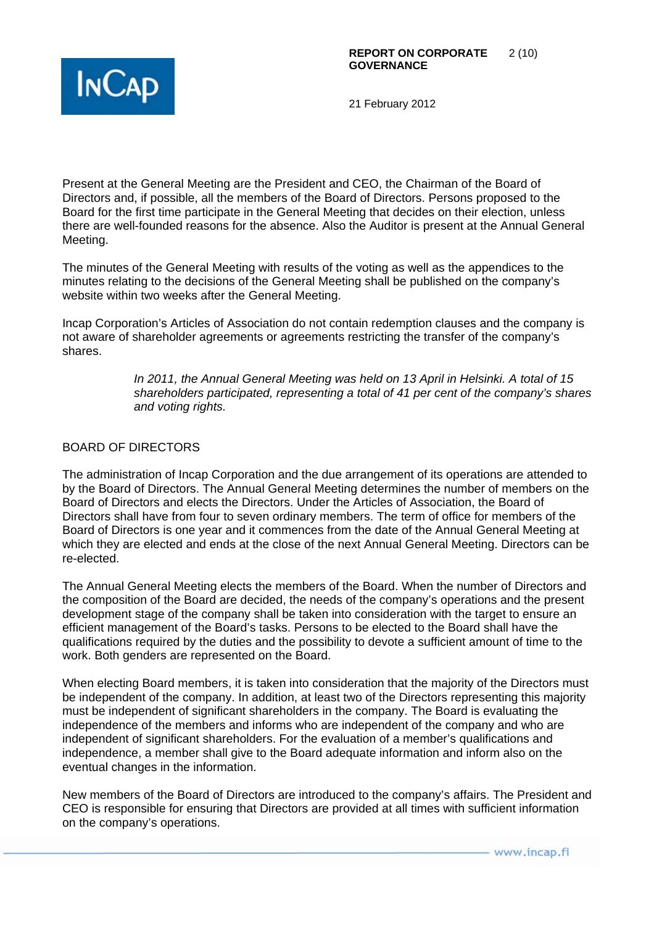

Present at the General Meeting are the President and CEO, the Chairman of the Board of Directors and, if possible, all the members of the Board of Directors. Persons proposed to the Board for the first time participate in the General Meeting that decides on their election, unless there are well-founded reasons for the absence. Also the Auditor is present at the Annual General Meeting.

The minutes of the General Meeting with results of the voting as well as the appendices to the minutes relating to the decisions of the General Meeting shall be published on the company's website within two weeks after the General Meeting.

Incap Corporation's Articles of Association do not contain redemption clauses and the company is not aware of shareholder agreements or agreements restricting the transfer of the company's shares.

> *In 2011, the Annual General Meeting was held on 13 April in Helsinki. A total of 15 shareholders participated, representing a total of 41 per cent of the company's shares and voting rights.*

# BOARD OF DIRECTORS

The administration of Incap Corporation and the due arrangement of its operations are attended to by the Board of Directors. The Annual General Meeting determines the number of members on the Board of Directors and elects the Directors. Under the Articles of Association, the Board of Directors shall have from four to seven ordinary members. The term of office for members of the Board of Directors is one year and it commences from the date of the Annual General Meeting at which they are elected and ends at the close of the next Annual General Meeting. Directors can be re-elected.

The Annual General Meeting elects the members of the Board. When the number of Directors and the composition of the Board are decided, the needs of the company's operations and the present development stage of the company shall be taken into consideration with the target to ensure an efficient management of the Board's tasks. Persons to be elected to the Board shall have the qualifications required by the duties and the possibility to devote a sufficient amount of time to the work. Both genders are represented on the Board.

When electing Board members, it is taken into consideration that the majority of the Directors must be independent of the company. In addition, at least two of the Directors representing this majority must be independent of significant shareholders in the company. The Board is evaluating the independence of the members and informs who are independent of the company and who are independent of significant shareholders. For the evaluation of a member's qualifications and independence, a member shall give to the Board adequate information and inform also on the eventual changes in the information.

New members of the Board of Directors are introduced to the company's affairs. The President and CEO is responsible for ensuring that Directors are provided at all times with sufficient information on the company's operations.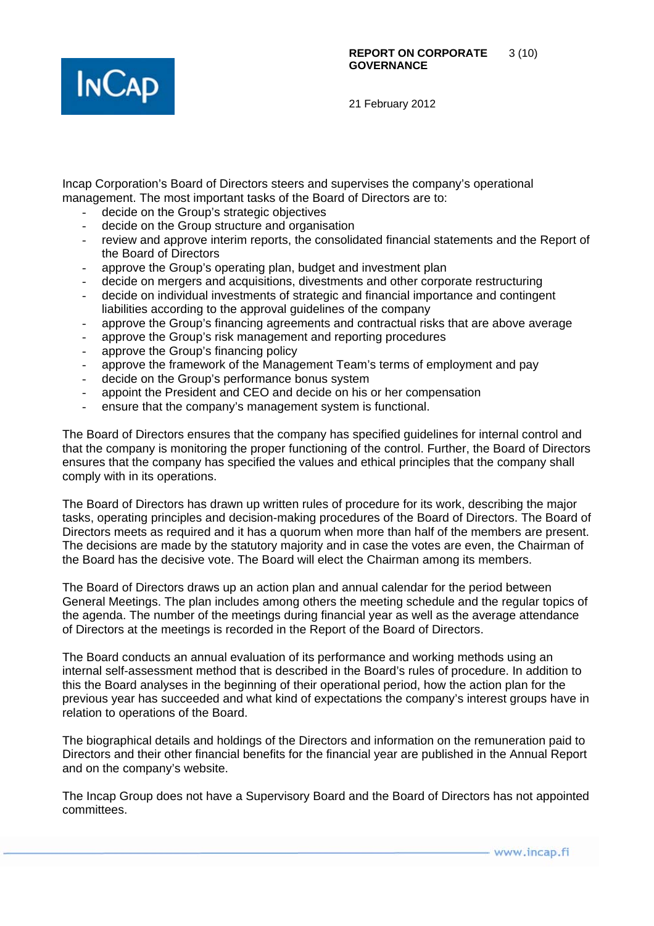

Incap Corporation's Board of Directors steers and supervises the company's operational management. The most important tasks of the Board of Directors are to:

- decide on the Group's strategic objectives
- decide on the Group structure and organisation
- review and approve interim reports, the consolidated financial statements and the Report of the Board of Directors
- approve the Group's operating plan, budget and investment plan
- decide on mergers and acquisitions, divestments and other corporate restructuring
- decide on individual investments of strategic and financial importance and contingent liabilities according to the approval guidelines of the company
- approve the Group's financing agreements and contractual risks that are above average
- approve the Group's risk management and reporting procedures
- approve the Group's financing policy
- approve the framework of the Management Team's terms of employment and pay
- decide on the Group's performance bonus system
- appoint the President and CEO and decide on his or her compensation
- ensure that the company's management system is functional.

The Board of Directors ensures that the company has specified guidelines for internal control and that the company is monitoring the proper functioning of the control. Further, the Board of Directors ensures that the company has specified the values and ethical principles that the company shall comply with in its operations.

The Board of Directors has drawn up written rules of procedure for its work, describing the major tasks, operating principles and decision-making procedures of the Board of Directors. The Board of Directors meets as required and it has a quorum when more than half of the members are present. The decisions are made by the statutory majority and in case the votes are even, the Chairman of the Board has the decisive vote. The Board will elect the Chairman among its members.

The Board of Directors draws up an action plan and annual calendar for the period between General Meetings. The plan includes among others the meeting schedule and the regular topics of the agenda. The number of the meetings during financial year as well as the average attendance of Directors at the meetings is recorded in the Report of the Board of Directors.

The Board conducts an annual evaluation of its performance and working methods using an internal self-assessment method that is described in the Board's rules of procedure. In addition to this the Board analyses in the beginning of their operational period, how the action plan for the previous year has succeeded and what kind of expectations the company's interest groups have in relation to operations of the Board.

The biographical details and holdings of the Directors and information on the remuneration paid to Directors and their other financial benefits for the financial year are published in the Annual Report and on the company's website.

The Incap Group does not have a Supervisory Board and the Board of Directors has not appointed committees.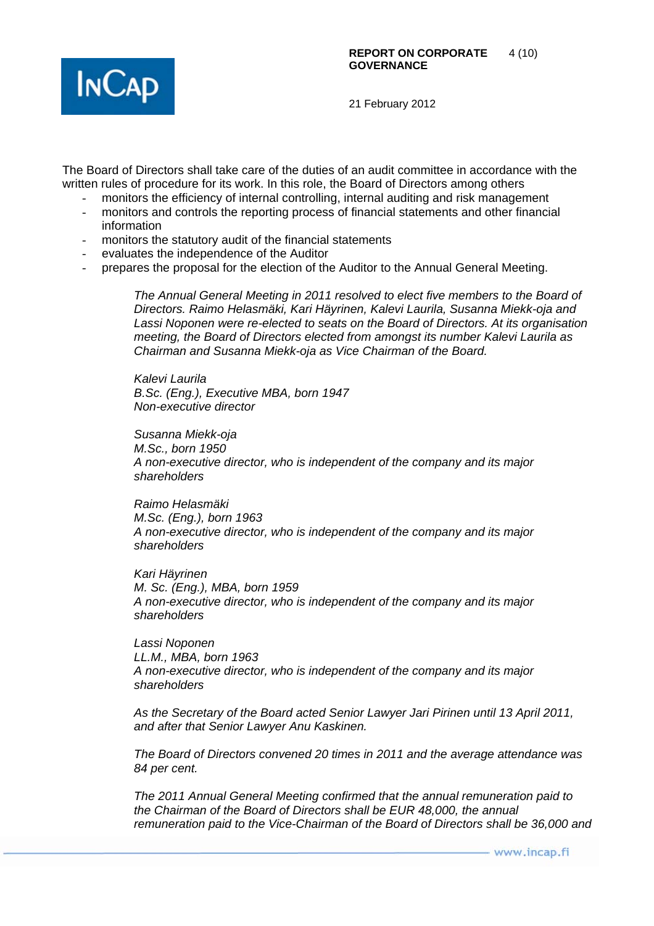

The Board of Directors shall take care of the duties of an audit committee in accordance with the written rules of procedure for its work. In this role, the Board of Directors among others

- monitors the efficiency of internal controlling, internal auditing and risk management
- monitors and controls the reporting process of financial statements and other financial information
- monitors the statutory audit of the financial statements
- evaluates the independence of the Auditor
- prepares the proposal for the election of the Auditor to the Annual General Meeting.

*The Annual General Meeting in 2011 resolved to elect five members to the Board of Directors. Raimo Helasmäki, Kari Häyrinen, Kalevi Laurila, Susanna Miekk-oja and Lassi Noponen were re-elected to seats on the Board of Directors. At its organisation meeting, the Board of Directors elected from amongst its number Kalevi Laurila as Chairman and Susanna Miekk-oja as Vice Chairman of the Board.* 

*Kalevi Laurila B.Sc. (Eng.), Executive MBA, born 1947 Non-executive director* 

*Susanna Miekk-oja M.Sc., born 1950 A non-executive director, who is independent of the company and its major shareholders* 

*Raimo Helasmäki M.Sc. (Eng.), born 1963 A non-executive director, who is independent of the company and its major shareholders* 

*Kari Häyrinen M. Sc. (Eng.), MBA, born 1959 A non-executive director, who is independent of the company and its major shareholders* 

*Lassi Noponen LL.M., MBA, born 1963 A non-executive director, who is independent of the company and its major shareholders* 

*As the Secretary of the Board acted Senior Lawyer Jari Pirinen until 13 April 2011, and after that Senior Lawyer Anu Kaskinen.* 

*The Board of Directors convened 20 times in 2011 and the average attendance was 84 per cent.* 

*The 2011 Annual General Meeting confirmed that the annual remuneration paid to the Chairman of the Board of Directors shall be EUR 48,000, the annual remuneration paid to the Vice-Chairman of the Board of Directors shall be 36,000 and*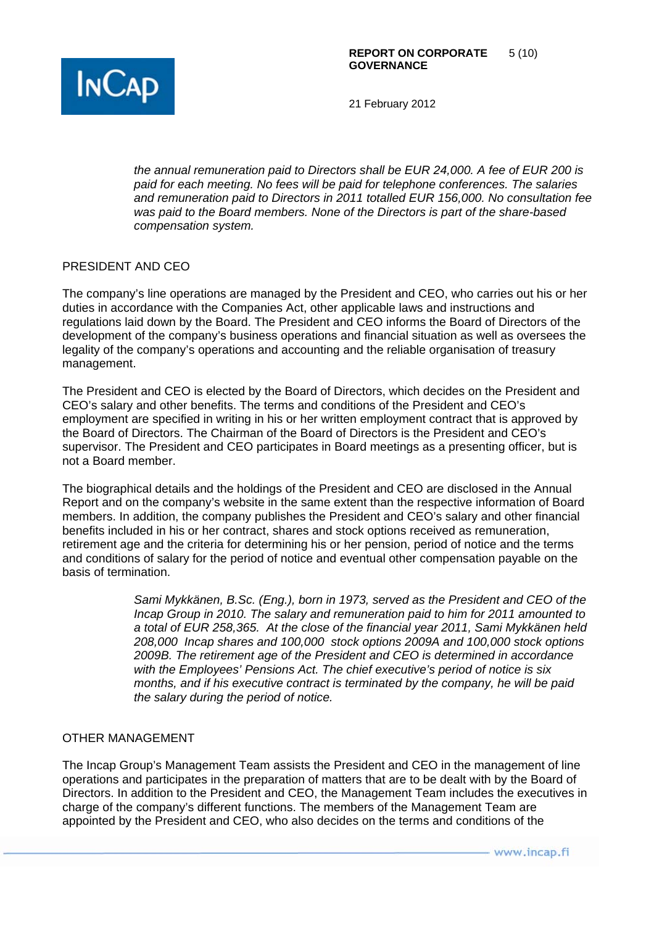

*the annual remuneration paid to Directors shall be EUR 24,000. A fee of EUR 200 is paid for each meeting. No fees will be paid for telephone conferences. The salaries and remuneration paid to Directors in 2011 totalled EUR 156,000. No consultation fee was paid to the Board members. None of the Directors is part of the share-based compensation system.* 

## PRESIDENT AND CEO

The company's line operations are managed by the President and CEO, who carries out his or her duties in accordance with the Companies Act, other applicable laws and instructions and regulations laid down by the Board. The President and CEO informs the Board of Directors of the development of the company's business operations and financial situation as well as oversees the legality of the company's operations and accounting and the reliable organisation of treasury management.

The President and CEO is elected by the Board of Directors, which decides on the President and CEO's salary and other benefits. The terms and conditions of the President and CEO's employment are specified in writing in his or her written employment contract that is approved by the Board of Directors. The Chairman of the Board of Directors is the President and CEO's supervisor. The President and CEO participates in Board meetings as a presenting officer, but is not a Board member.

The biographical details and the holdings of the President and CEO are disclosed in the Annual Report and on the company's website in the same extent than the respective information of Board members. In addition, the company publishes the President and CEO's salary and other financial benefits included in his or her contract, shares and stock options received as remuneration, retirement age and the criteria for determining his or her pension, period of notice and the terms and conditions of salary for the period of notice and eventual other compensation payable on the basis of termination.

> *Sami Mykkänen, B.Sc. (Eng.), born in 1973, served as the President and CEO of the Incap Group in 2010. The salary and remuneration paid to him for 2011 amounted to a total of EUR 258,365. At the close of the financial year 2011, Sami Mykkänen held 208,000 Incap shares and 100,000 stock options 2009A and 100,000 stock options 2009B. The retirement age of the President and CEO is determined in accordance with the Employees' Pensions Act. The chief executive's period of notice is six months, and if his executive contract is terminated by the company, he will be paid the salary during the period of notice.*

## OTHER MANAGEMENT

The Incap Group's Management Team assists the President and CEO in the management of line operations and participates in the preparation of matters that are to be dealt with by the Board of Directors. In addition to the President and CEO, the Management Team includes the executives in charge of the company's different functions. The members of the Management Team are appointed by the President and CEO, who also decides on the terms and conditions of the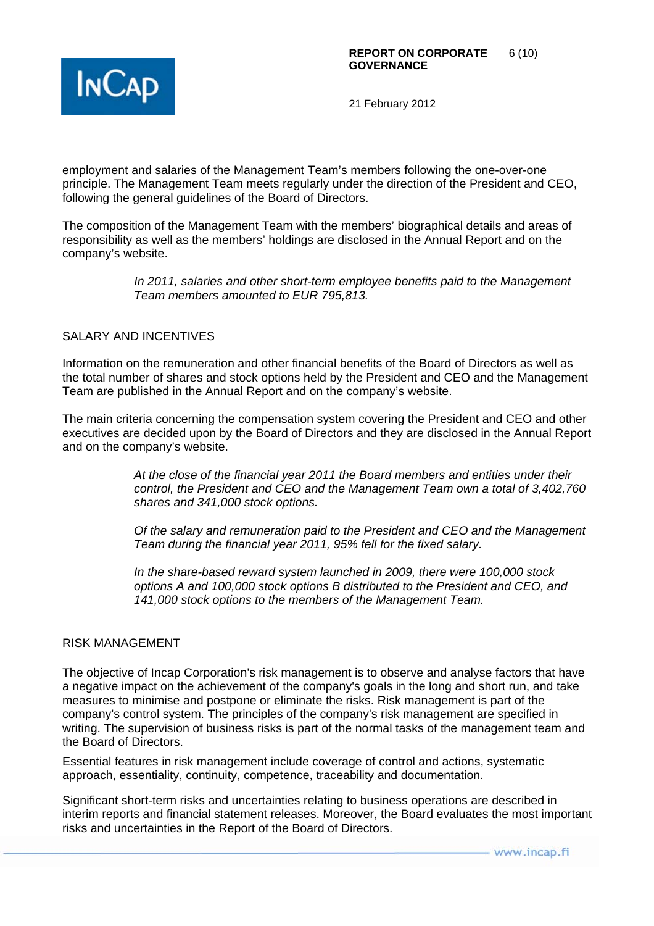

employment and salaries of the Management Team's members following the one-over-one principle. The Management Team meets regularly under the direction of the President and CEO, following the general guidelines of the Board of Directors.

The composition of the Management Team with the members' biographical details and areas of responsibility as well as the members' holdings are disclosed in the Annual Report and on the company's website.

> *In 2011, salaries and other short-term employee benefits paid to the Management Team members amounted to EUR 795,813.*

## SALARY AND INCENTIVES

Information on the remuneration and other financial benefits of the Board of Directors as well as the total number of shares and stock options held by the President and CEO and the Management Team are published in the Annual Report and on the company's website.

The main criteria concerning the compensation system covering the President and CEO and other executives are decided upon by the Board of Directors and they are disclosed in the Annual Report and on the company's website.

> *At the close of the financial year 2011 the Board members and entities under their control, the President and CEO and the Management Team own a total of 3,402,760 shares and 341,000 stock options.*

> *Of the salary and remuneration paid to the President and CEO and the Management Team during the financial year 2011, 95% fell for the fixed salary.*

*In the share-based reward system launched in 2009, there were 100,000 stock options A and 100,000 stock options B distributed to the President and CEO, and 141,000 stock options to the members of the Management Team.* 

#### RISK MANAGEMENT

The objective of Incap Corporation's risk management is to observe and analyse factors that have a negative impact on the achievement of the company's goals in the long and short run, and take measures to minimise and postpone or eliminate the risks. Risk management is part of the company's control system. The principles of the company's risk management are specified in writing. The supervision of business risks is part of the normal tasks of the management team and the Board of Directors.

Essential features in risk management include coverage of control and actions, systematic approach, essentiality, continuity, competence, traceability and documentation.

Significant short-term risks and uncertainties relating to business operations are described in interim reports and financial statement releases. Moreover, the Board evaluates the most important risks and uncertainties in the Report of the Board of Directors.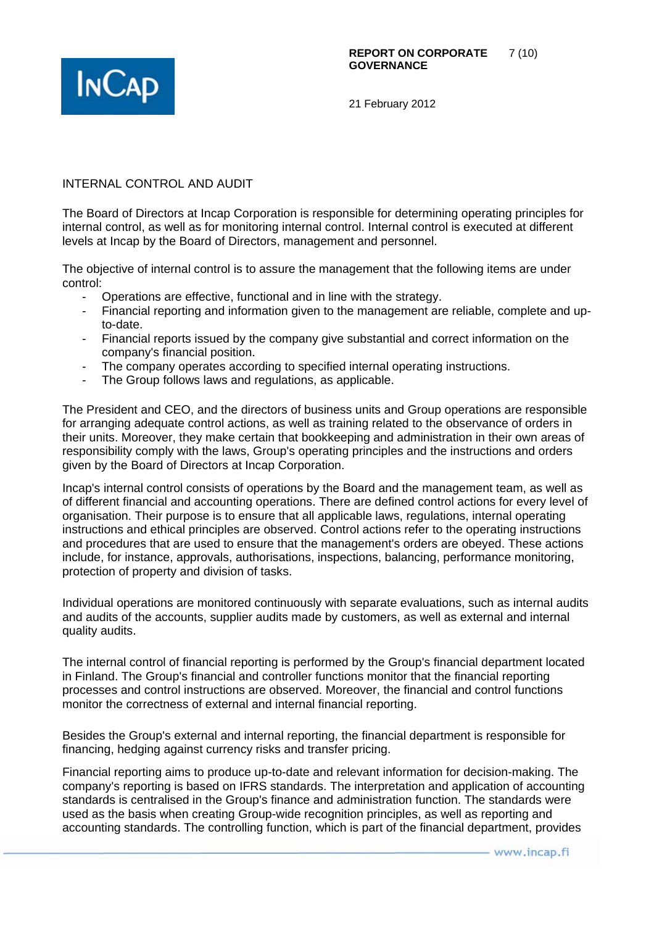

## INTERNAL CONTROL AND AUDIT

The Board of Directors at Incap Corporation is responsible for determining operating principles for internal control, as well as for monitoring internal control. Internal control is executed at different levels at Incap by the Board of Directors, management and personnel.

The objective of internal control is to assure the management that the following items are under control:

- Operations are effective, functional and in line with the strategy.
- Financial reporting and information given to the management are reliable, complete and upto-date.
- Financial reports issued by the company give substantial and correct information on the company's financial position.
- The company operates according to specified internal operating instructions.
- The Group follows laws and regulations, as applicable.

The President and CEO, and the directors of business units and Group operations are responsible for arranging adequate control actions, as well as training related to the observance of orders in their units. Moreover, they make certain that bookkeeping and administration in their own areas of responsibility comply with the laws, Group's operating principles and the instructions and orders given by the Board of Directors at Incap Corporation.

Incap's internal control consists of operations by the Board and the management team, as well as of different financial and accounting operations. There are defined control actions for every level of organisation. Their purpose is to ensure that all applicable laws, regulations, internal operating instructions and ethical principles are observed. Control actions refer to the operating instructions and procedures that are used to ensure that the management's orders are obeyed. These actions include, for instance, approvals, authorisations, inspections, balancing, performance monitoring, protection of property and division of tasks.

Individual operations are monitored continuously with separate evaluations, such as internal audits and audits of the accounts, supplier audits made by customers, as well as external and internal quality audits.

The internal control of financial reporting is performed by the Group's financial department located in Finland. The Group's financial and controller functions monitor that the financial reporting processes and control instructions are observed. Moreover, the financial and control functions monitor the correctness of external and internal financial reporting.

Besides the Group's external and internal reporting, the financial department is responsible for financing, hedging against currency risks and transfer pricing.

Financial reporting aims to produce up-to-date and relevant information for decision-making. The company's reporting is based on IFRS standards. The interpretation and application of accounting standards is centralised in the Group's finance and administration function. The standards were used as the basis when creating Group-wide recognition principles, as well as reporting and accounting standards. The controlling function, which is part of the financial department, provides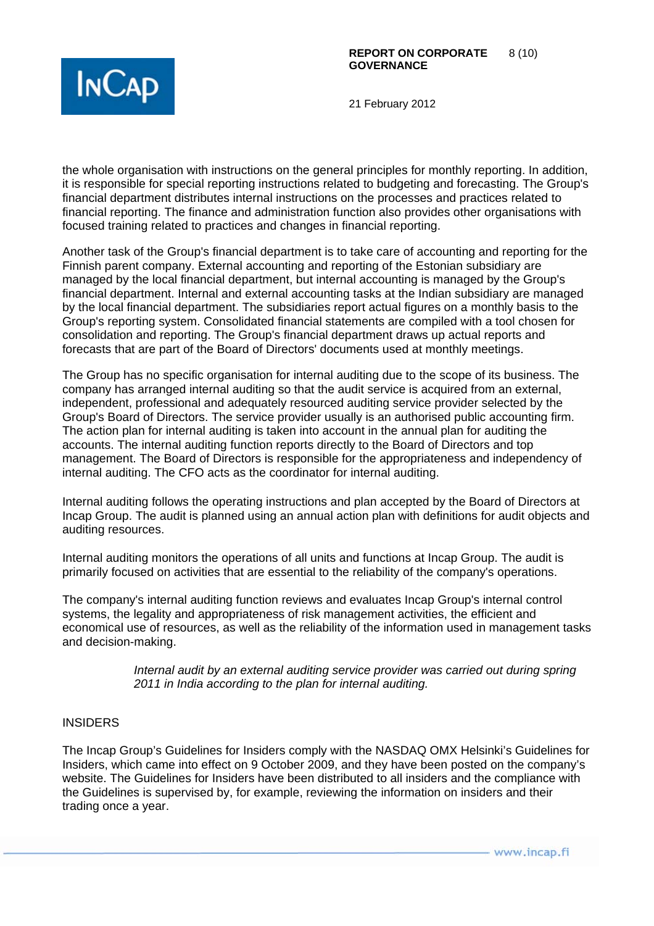

the whole organisation with instructions on the general principles for monthly reporting. In addition, it is responsible for special reporting instructions related to budgeting and forecasting. The Group's financial department distributes internal instructions on the processes and practices related to financial reporting. The finance and administration function also provides other organisations with focused training related to practices and changes in financial reporting.

Another task of the Group's financial department is to take care of accounting and reporting for the Finnish parent company. External accounting and reporting of the Estonian subsidiary are managed by the local financial department, but internal accounting is managed by the Group's financial department. Internal and external accounting tasks at the Indian subsidiary are managed by the local financial department. The subsidiaries report actual figures on a monthly basis to the Group's reporting system. Consolidated financial statements are compiled with a tool chosen for consolidation and reporting. The Group's financial department draws up actual reports and forecasts that are part of the Board of Directors' documents used at monthly meetings.

The Group has no specific organisation for internal auditing due to the scope of its business. The company has arranged internal auditing so that the audit service is acquired from an external, independent, professional and adequately resourced auditing service provider selected by the Group's Board of Directors. The service provider usually is an authorised public accounting firm. The action plan for internal auditing is taken into account in the annual plan for auditing the accounts. The internal auditing function reports directly to the Board of Directors and top management. The Board of Directors is responsible for the appropriateness and independency of internal auditing. The CFO acts as the coordinator for internal auditing.

Internal auditing follows the operating instructions and plan accepted by the Board of Directors at Incap Group. The audit is planned using an annual action plan with definitions for audit objects and auditing resources.

Internal auditing monitors the operations of all units and functions at Incap Group. The audit is primarily focused on activities that are essential to the reliability of the company's operations.

The company's internal auditing function reviews and evaluates Incap Group's internal control systems, the legality and appropriateness of risk management activities, the efficient and economical use of resources, as well as the reliability of the information used in management tasks and decision-making.

> Internal audit by an external auditing service provider was carried out during spring *2011 in India according to the plan for internal auditing.*

## INSIDERS

The Incap Group's Guidelines for Insiders comply with the NASDAQ OMX Helsinki's Guidelines for Insiders, which came into effect on 9 October 2009, and they have been posted on the company's website. The Guidelines for Insiders have been distributed to all insiders and the compliance with the Guidelines is supervised by, for example, reviewing the information on insiders and their trading once a year.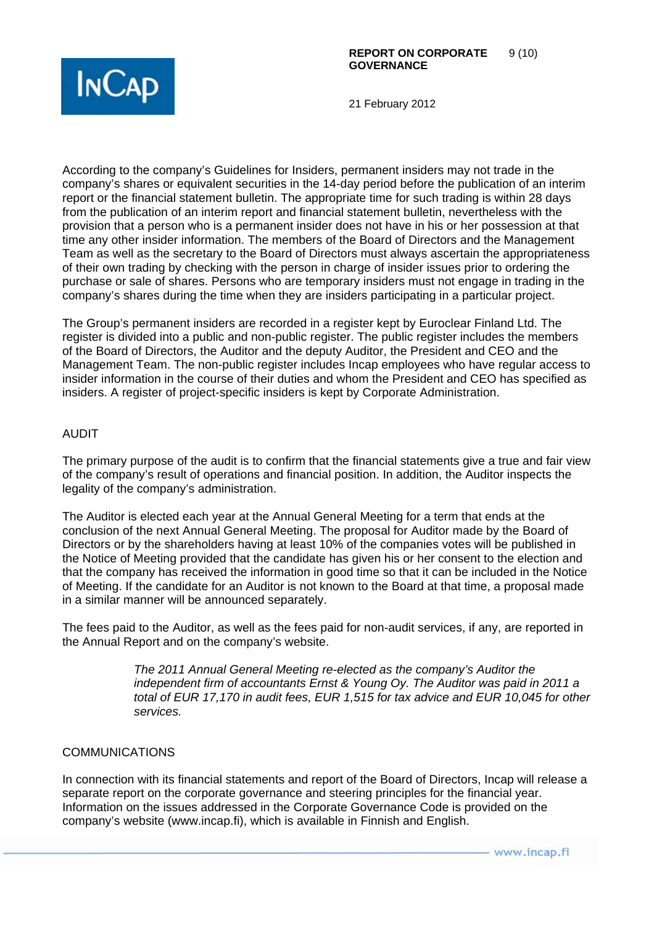

According to the company's Guidelines for Insiders, permanent insiders may not trade in the company's shares or equivalent securities in the 14-day period before the publication of an interim report or the financial statement bulletin. The appropriate time for such trading is within 28 days from the publication of an interim report and financial statement bulletin, nevertheless with the provision that a person who is a permanent insider does not have in his or her possession at that time any other insider information. The members of the Board of Directors and the Management Team as well as the secretary to the Board of Directors must always ascertain the appropriateness of their own trading by checking with the person in charge of insider issues prior to ordering the purchase or sale of shares. Persons who are temporary insiders must not engage in trading in the company's shares during the time when they are insiders participating in a particular project.

The Group's permanent insiders are recorded in a register kept by Euroclear Finland Ltd. The register is divided into a public and non-public register. The public register includes the members of the Board of Directors, the Auditor and the deputy Auditor, the President and CEO and the Management Team. The non-public register includes Incap employees who have regular access to insider information in the course of their duties and whom the President and CEO has specified as insiders. A register of project-specific insiders is kept by Corporate Administration.

#### AUDIT

The primary purpose of the audit is to confirm that the financial statements give a true and fair view of the company's result of operations and financial position. In addition, the Auditor inspects the legality of the company's administration.

The Auditor is elected each year at the Annual General Meeting for a term that ends at the conclusion of the next Annual General Meeting. The proposal for Auditor made by the Board of Directors or by the shareholders having at least 10% of the companies votes will be published in the Notice of Meeting provided that the candidate has given his or her consent to the election and that the company has received the information in good time so that it can be included in the Notice of Meeting. If the candidate for an Auditor is not known to the Board at that time, a proposal made in a similar manner will be announced separately.

The fees paid to the Auditor, as well as the fees paid for non-audit services, if any, are reported in the Annual Report and on the company's website.

> *The 2011 Annual General Meeting re-elected as the company's Auditor the independent firm of accountants Ernst & Young Oy. The Auditor was paid in 2011 a total of EUR 17,170 in audit fees, EUR 1,515 for tax advice and EUR 10,045 for other services.*

## COMMUNICATIONS

In connection with its financial statements and report of the Board of Directors, Incap will release a separate report on the corporate governance and steering principles for the financial year. Information on the issues addressed in the Corporate Governance Code is provided on the company's website (www.incap.fi), which is available in Finnish and English.